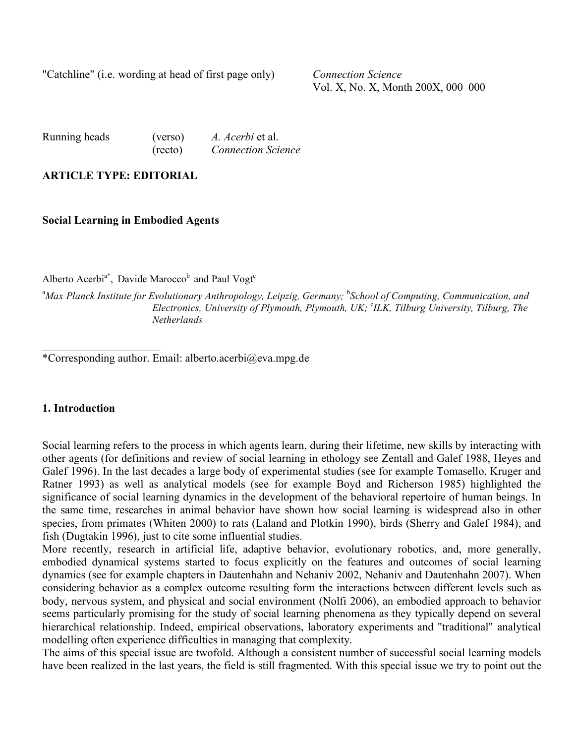"Catchline" (i.e. wording at head of first page only) *Connection Science*

Vol. X, No. X, Month 200X, 000–000

Running heads (verso) *A. Acerbi* et al. (recto) *Connection Science*

#### **ARTICLE TYPE: EDITORIAL**

#### **Social Learning in Embodied Agents**

Alberto Acerbi<sup>a\*</sup>, Davide Marocco<sup>b</sup> and Paul Vogt<sup>c</sup>

<sup>a</sup>Max Planck Institute for Evolutionary Anthropology, Leipzig, Germany; <sup>b</sup>School of Computing, Communication, and *Electronics, University of Plymouth, Plymouth, UK;* <sup>c</sup> *ILK, Tilburg University, Tilburg, The Netherlands*

\*Corresponding author. Email: alberto.acerbi@eva.mpg.de

### **1. Introduction**

 $\mathcal{L}_\text{max}$  , where  $\mathcal{L}_\text{max}$  , we have the set of the set of the set of the set of the set of the set of the set of the set of the set of the set of the set of the set of the set of the set of the set of the set of

Social learning refers to the process in which agents learn, during their lifetime, new skills by interacting with other agents (for definitions and review of social learning in ethology see Zentall and Galef 1988, Heyes and Galef 1996). In the last decades a large body of experimental studies (see for example Tomasello, Kruger and Ratner 1993) as well as analytical models (see for example Boyd and Richerson 1985) highlighted the significance of social learning dynamics in the development of the behavioral repertoire of human beings. In the same time, researches in animal behavior have shown how social learning is widespread also in other species, from primates (Whiten 2000) to rats (Laland and Plotkin 1990), birds (Sherry and Galef 1984), and fish (Dugtakin 1996), just to cite some influential studies.

More recently, research in artificial life, adaptive behavior, evolutionary robotics, and, more generally, embodied dynamical systems started to focus explicitly on the features and outcomes of social learning dynamics (see for example chapters in Dautenhahn and Nehaniv 2002, Nehaniv and Dautenhahn 2007). When considering behavior as a complex outcome resulting form the interactions between different levels such as body, nervous system, and physical and social environment (Nolfi 2006), an embodied approach to behavior seems particularly promising for the study of social learning phenomena as they typically depend on several hierarchical relationship. Indeed, empirical observations, laboratory experiments and "traditional" analytical modelling often experience difficulties in managing that complexity.

The aims of this special issue are twofold. Although a consistent number of successful social learning models have been realized in the last years, the field is still fragmented. With this special issue we try to point out the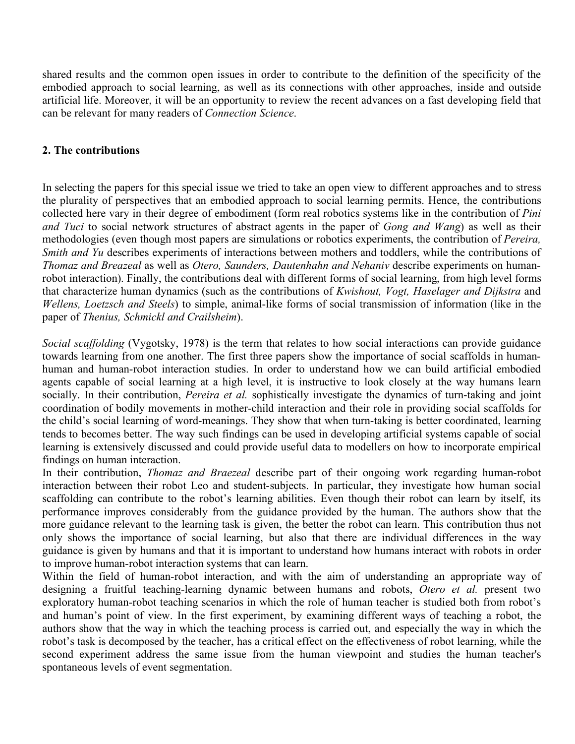shared results and the common open issues in order to contribute to the definition of the specificity of the embodied approach to social learning, as well as its connections with other approaches, inside and outside artificial life. Moreover, it will be an opportunity to review the recent advances on a fast developing field that can be relevant for many readers of *Connection Science*.

# **2. The contributions**

In selecting the papers for this special issue we tried to take an open view to different approaches and to stress the plurality of perspectives that an embodied approach to social learning permits. Hence, the contributions collected here vary in their degree of embodiment (form real robotics systems like in the contribution of *Pini and Tuci* to social network structures of abstract agents in the paper of *Gong and Wang*) as well as their methodologies (even though most papers are simulations or robotics experiments, the contribution of *Pereira, Smith and Yu* describes experiments of interactions between mothers and toddlers, while the contributions of *Thomaz and Breazeal* as well as *Otero, Saunders, Dautenhahn and Nehaniv* describe experiments on humanrobot interaction). Finally, the contributions deal with different forms of social learning, from high level forms that characterize human dynamics (such as the contributions of *Kwishout, Vogt, Haselager and Dijkstra* and *Wellens, Loetzsch and Steels*) to simple, animal-like forms of social transmission of information (like in the paper of *Thenius, Schmickl and Crailsheim*).

*Social scaffolding* (Vygotsky, 1978) is the term that relates to how social interactions can provide guidance towards learning from one another. The first three papers show the importance of social scaffolds in humanhuman and human-robot interaction studies. In order to understand how we can build artificial embodied agents capable of social learning at a high level, it is instructive to look closely at the way humans learn socially. In their contribution, *Pereira et al.* sophistically investigate the dynamics of turn-taking and joint coordination of bodily movements in mother-child interaction and their role in providing social scaffolds for the child's social learning of word-meanings. They show that when turn-taking is better coordinated, learning tends to becomes better. The way such findings can be used in developing artificial systems capable of social learning is extensively discussed and could provide useful data to modellers on how to incorporate empirical findings on human interaction.

In their contribution, *Thomaz and Braezeal* describe part of their ongoing work regarding human-robot interaction between their robot Leo and student-subjects. In particular, they investigate how human social scaffolding can contribute to the robot's learning abilities. Even though their robot can learn by itself, its performance improves considerably from the guidance provided by the human. The authors show that the more guidance relevant to the learning task is given, the better the robot can learn. This contribution thus not only shows the importance of social learning, but also that there are individual differences in the way guidance is given by humans and that it is important to understand how humans interact with robots in order to improve human-robot interaction systems that can learn.

Within the field of human-robot interaction, and with the aim of understanding an appropriate way of designing a fruitful teaching-learning dynamic between humans and robots, *Otero et al.* present two exploratory human-robot teaching scenarios in which the role of human teacher is studied both from robot's and human's point of view. In the first experiment, by examining different ways of teaching a robot, the authors show that the way in which the teaching process is carried out, and especially the way in which the robot's task is decomposed by the teacher, has a critical effect on the effectiveness of robot learning, while the second experiment address the same issue from the human viewpoint and studies the human teacher's spontaneous levels of event segmentation.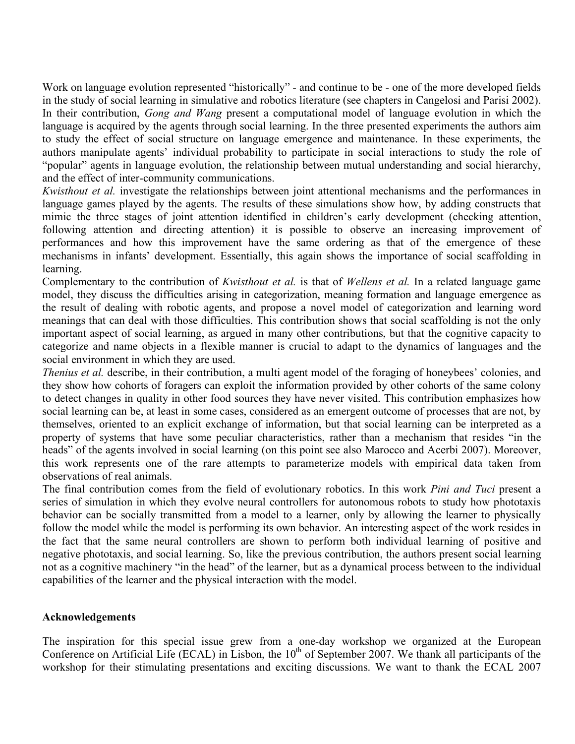Work on language evolution represented "historically" - and continue to be - one of the more developed fields in the study of social learning in simulative and robotics literature (see chapters in Cangelosi and Parisi 2002). In their contribution, *Gong and Wang* present a computational model of language evolution in which the language is acquired by the agents through social learning. In the three presented experiments the authors aim to study the effect of social structure on language emergence and maintenance. In these experiments, the authors manipulate agents' individual probability to participate in social interactions to study the role of "popular" agents in language evolution, the relationship between mutual understanding and social hierarchy, and the effect of inter-community communications.

*Kwisthout et al.* investigate the relationships between joint attentional mechanisms and the performances in language games played by the agents. The results of these simulations show how, by adding constructs that mimic the three stages of joint attention identified in children's early development (checking attention, following attention and directing attention) it is possible to observe an increasing improvement of performances and how this improvement have the same ordering as that of the emergence of these mechanisms in infants' development. Essentially, this again shows the importance of social scaffolding in learning.

Complementary to the contribution of *Kwisthout et al.* is that of *Wellens et al.* In a related language game model, they discuss the difficulties arising in categorization, meaning formation and language emergence as the result of dealing with robotic agents, and propose a novel model of categorization and learning word meanings that can deal with those difficulties. This contribution shows that social scaffolding is not the only important aspect of social learning, as argued in many other contributions, but that the cognitive capacity to categorize and name objects in a flexible manner is crucial to adapt to the dynamics of languages and the social environment in which they are used.

*Thenius et al.* describe, in their contribution, a multi agent model of the foraging of honeybees' colonies, and they show how cohorts of foragers can exploit the information provided by other cohorts of the same colony to detect changes in quality in other food sources they have never visited. This contribution emphasizes how social learning can be, at least in some cases, considered as an emergent outcome of processes that are not, by themselves, oriented to an explicit exchange of information, but that social learning can be interpreted as a property of systems that have some peculiar characteristics, rather than a mechanism that resides "in the heads" of the agents involved in social learning (on this point see also Marocco and Acerbi 2007). Moreover, this work represents one of the rare attempts to parameterize models with empirical data taken from observations of real animals.

The final contribution comes from the field of evolutionary robotics. In this work *Pini and Tuci* present a series of simulation in which they evolve neural controllers for autonomous robots to study how phototaxis behavior can be socially transmitted from a model to a learner, only by allowing the learner to physically follow the model while the model is performing its own behavior. An interesting aspect of the work resides in the fact that the same neural controllers are shown to perform both individual learning of positive and negative phototaxis, and social learning. So, like the previous contribution, the authors present social learning not as a cognitive machinery "in the head" of the learner, but as a dynamical process between to the individual capabilities of the learner and the physical interaction with the model.

### **Acknowledgements**

The inspiration for this special issue grew from a one-day workshop we organized at the European Conference on Artificial Life (ECAL) in Lisbon, the 10<sup>th</sup> of September 2007. We thank all participants of the workshop for their stimulating presentations and exciting discussions. We want to thank the ECAL 2007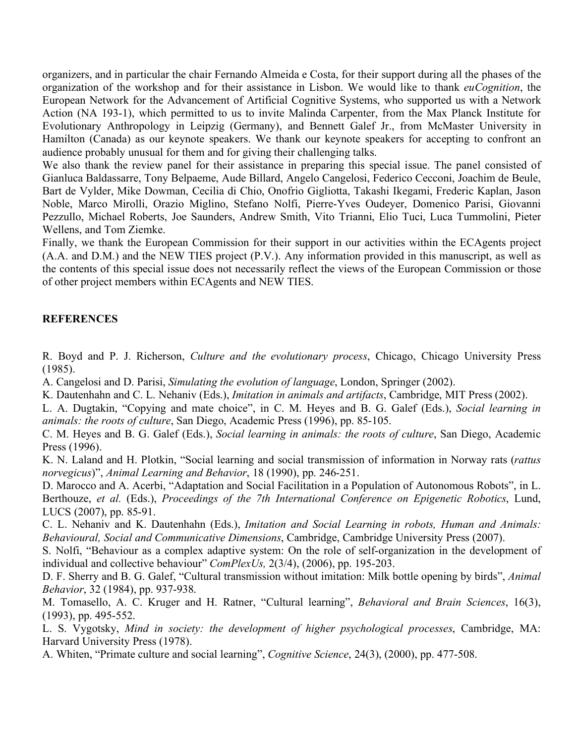organizers, and in particular the chair Fernando Almeida e Costa, for their support during all the phases of the organization of the workshop and for their assistance in Lisbon. We would like to thank *euCognition*, the European Network for the Advancement of Artificial Cognitive Systems, who supported us with a Network Action (NA 193-1), which permitted to us to invite Malinda Carpenter, from the Max Planck Institute for Evolutionary Anthropology in Leipzig (Germany), and Bennett Galef Jr., from McMaster University in Hamilton (Canada) as our keynote speakers. We thank our keynote speakers for accepting to confront an audience probably unusual for them and for giving their challenging talks.

We also thank the review panel for their assistance in preparing this special issue. The panel consisted of Gianluca Baldassarre, Tony Belpaeme, Aude Billard, Angelo Cangelosi, Federico Cecconi, Joachim de Beule, Bart de Vylder, Mike Dowman, Cecilia di Chio, Onofrio Gigliotta, Takashi Ikegami, Frederic Kaplan, Jason Noble, Marco Mirolli, Orazio Miglino, Stefano Nolfi, Pierre-Yves Oudeyer, Domenico Parisi, Giovanni Pezzullo, Michael Roberts, Joe Saunders, Andrew Smith, Vito Trianni, Elio Tuci, Luca Tummolini, Pieter Wellens, and Tom Ziemke.

Finally, we thank the European Commission for their support in our activities within the ECAgents project (A.A. and D.M.) and the NEW TIES project (P.V.). Any information provided in this manuscript, as well as the contents of this special issue does not necessarily reflect the views of the European Commission or those of other project members within ECAgents and NEW TIES.

## **REFERENCES**

R. Boyd and P. J. Richerson, *Culture and the evolutionary process*, Chicago, Chicago University Press (1985).

A. Cangelosi and D. Parisi, *Simulating the evolution of language*, London, Springer (2002).

K. Dautenhahn and C. L. Nehaniv (Eds.), *Imitation in animals and artifacts*, Cambridge, MIT Press (2002).

L. A. Dugtakin, "Copying and mate choice", in C. M. Heyes and B. G. Galef (Eds.), *Social learning in animals: the roots of culture*, San Diego, Academic Press (1996), pp. 85-105.

C. M. Heyes and B. G. Galef (Eds.), *Social learning in animals: the roots of culture*, San Diego, Academic Press (1996).

K. N. Laland and H. Plotkin, "Social learning and social transmission of information in Norway rats (*rattus norvegicus*)", *Animal Learning and Behavior*, 18 (1990), pp. 246-251.

D. Marocco and A. Acerbi, "Adaptation and Social Facilitation in a Population of Autonomous Robots", in L. Berthouze, *et al.* (Eds.), *Proceedings of the 7th International Conference on Epigenetic Robotics*, Lund, LUCS (2007), pp. 85-91.

C. L. Nehaniv and K. Dautenhahn (Eds.), *Imitation and Social Learning in robots, Human and Animals: Behavioural, Social and Communicative Dimensions*, Cambridge, Cambridge University Press (2007).

S. Nolfi, "Behaviour as a complex adaptive system: On the role of self-organization in the development of individual and collective behaviour" *ComPlexUs,* 2(3/4), (2006), pp. 195-203.

D. F. Sherry and B. G. Galef, "Cultural transmission without imitation: Milk bottle opening by birds", *Animal Behavior*, 32 (1984), pp. 937-938.

M. Tomasello, A. C. Kruger and H. Ratner, "Cultural learning", *Behavioral and Brain Sciences*, 16(3), (1993), pp. 495-552.

L. S. Vygotsky, *Mind in society: the development of higher psychological processes*, Cambridge, MA: Harvard University Press (1978).

A. Whiten, "Primate culture and social learning", *Cognitive Science*, 24(3), (2000), pp. 477-508.